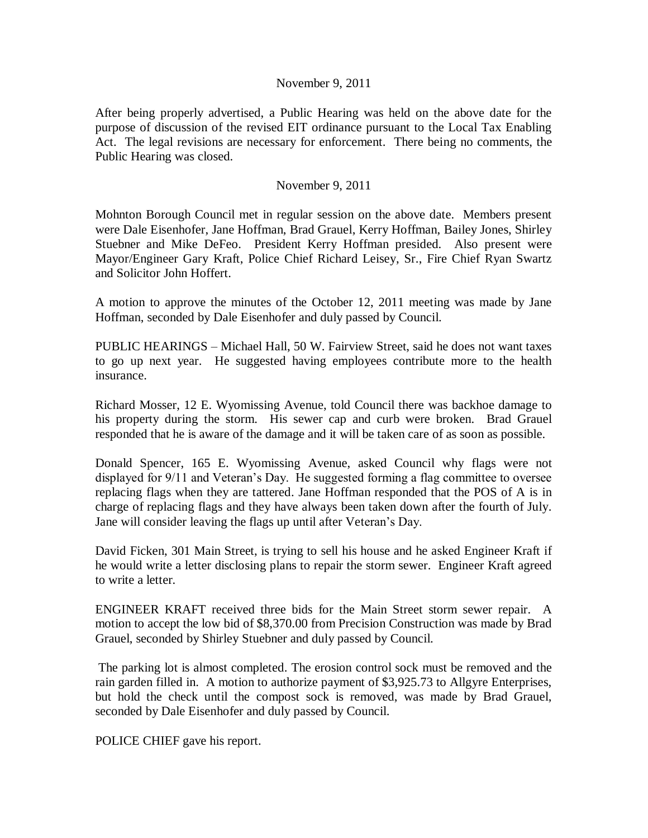## November 9, 2011

After being properly advertised, a Public Hearing was held on the above date for the purpose of discussion of the revised EIT ordinance pursuant to the Local Tax Enabling Act. The legal revisions are necessary for enforcement. There being no comments, the Public Hearing was closed.

## November 9, 2011

Mohnton Borough Council met in regular session on the above date. Members present were Dale Eisenhofer, Jane Hoffman, Brad Grauel, Kerry Hoffman, Bailey Jones, Shirley Stuebner and Mike DeFeo. President Kerry Hoffman presided. Also present were Mayor/Engineer Gary Kraft, Police Chief Richard Leisey, Sr., Fire Chief Ryan Swartz and Solicitor John Hoffert.

A motion to approve the minutes of the October 12, 2011 meeting was made by Jane Hoffman, seconded by Dale Eisenhofer and duly passed by Council.

PUBLIC HEARINGS – Michael Hall, 50 W. Fairview Street, said he does not want taxes to go up next year. He suggested having employees contribute more to the health insurance.

Richard Mosser, 12 E. Wyomissing Avenue, told Council there was backhoe damage to his property during the storm. His sewer cap and curb were broken. Brad Grauel responded that he is aware of the damage and it will be taken care of as soon as possible.

Donald Spencer, 165 E. Wyomissing Avenue, asked Council why flags were not displayed for 9/11 and Veteran's Day. He suggested forming a flag committee to oversee replacing flags when they are tattered. Jane Hoffman responded that the POS of A is in charge of replacing flags and they have always been taken down after the fourth of July. Jane will consider leaving the flags up until after Veteran's Day.

David Ficken, 301 Main Street, is trying to sell his house and he asked Engineer Kraft if he would write a letter disclosing plans to repair the storm sewer. Engineer Kraft agreed to write a letter.

ENGINEER KRAFT received three bids for the Main Street storm sewer repair. A motion to accept the low bid of \$8,370.00 from Precision Construction was made by Brad Grauel, seconded by Shirley Stuebner and duly passed by Council.

The parking lot is almost completed. The erosion control sock must be removed and the rain garden filled in. A motion to authorize payment of \$3,925.73 to Allgyre Enterprises, but hold the check until the compost sock is removed, was made by Brad Grauel, seconded by Dale Eisenhofer and duly passed by Council.

POLICE CHIEF gave his report.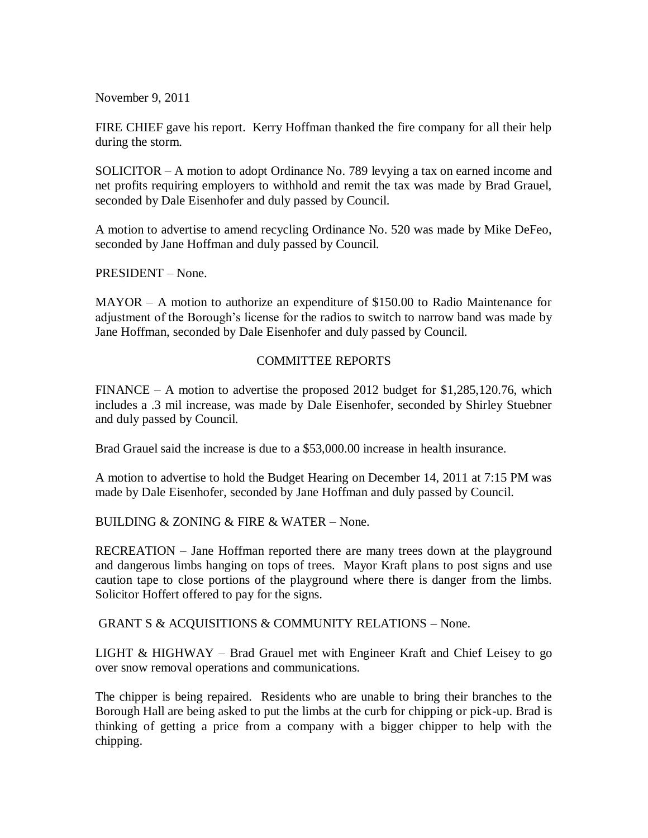November 9, 2011

FIRE CHIEF gave his report. Kerry Hoffman thanked the fire company for all their help during the storm.

SOLICITOR – A motion to adopt Ordinance No. 789 levying a tax on earned income and net profits requiring employers to withhold and remit the tax was made by Brad Grauel, seconded by Dale Eisenhofer and duly passed by Council.

A motion to advertise to amend recycling Ordinance No. 520 was made by Mike DeFeo, seconded by Jane Hoffman and duly passed by Council.

PRESIDENT – None.

MAYOR – A motion to authorize an expenditure of \$150.00 to Radio Maintenance for adjustment of the Borough's license for the radios to switch to narrow band was made by Jane Hoffman, seconded by Dale Eisenhofer and duly passed by Council.

## COMMITTEE REPORTS

 $FINANCE - A motion to advertise the proposed 2012 budget for $1,285,120.76, which$ includes a .3 mil increase, was made by Dale Eisenhofer, seconded by Shirley Stuebner and duly passed by Council.

Brad Grauel said the increase is due to a \$53,000.00 increase in health insurance.

A motion to advertise to hold the Budget Hearing on December 14, 2011 at 7:15 PM was made by Dale Eisenhofer, seconded by Jane Hoffman and duly passed by Council.

BUILDING & ZONING & FIRE & WATER – None.

RECREATION – Jane Hoffman reported there are many trees down at the playground and dangerous limbs hanging on tops of trees. Mayor Kraft plans to post signs and use caution tape to close portions of the playground where there is danger from the limbs. Solicitor Hoffert offered to pay for the signs.

GRANT S & ACQUISITIONS & COMMUNITY RELATIONS – None.

LIGHT & HIGHWAY – Brad Grauel met with Engineer Kraft and Chief Leisey to go over snow removal operations and communications.

The chipper is being repaired. Residents who are unable to bring their branches to the Borough Hall are being asked to put the limbs at the curb for chipping or pick-up. Brad is thinking of getting a price from a company with a bigger chipper to help with the chipping.